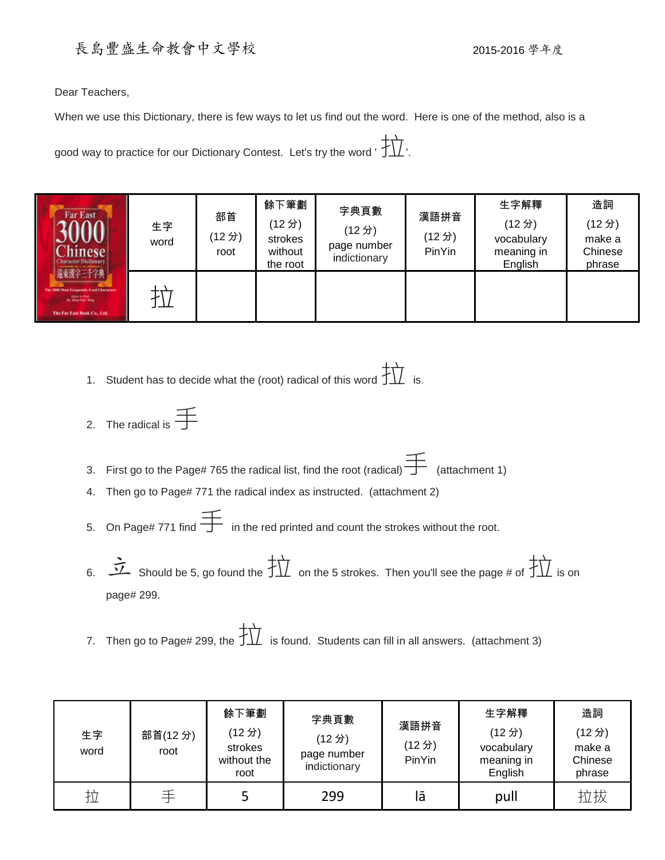## 長島豐盛生命教會中文學校 2015-2016學年度

Dear Teachers,

When we use this Dictionary, there is few ways to let us find out the word. Here is one of the method, also is a

good way to practice for our Dictionary Contest. Let's try the word ' $\overleftrightarrow{\textbf{1}}$ '.

| <b>Far East</b><br><b>Chinese</b><br><b>Character Dictionary</b><br>遠東漢字三千字典<br>The 3000 Mast Frequently-Cool Characters<br><b>Sillor to Died.</b><br>Dr. Shou Hein Terry<br>The Far East Book Co., Ltd. | 生字<br>word | 部首<br>(12分)<br>root | 餘下筆劃<br>(12分)<br>strokes<br>without<br>the root | 字典頁數<br>(12分)<br>page number<br>indictionary | 漢語拼音<br>(12分)<br>PinYin | 生字解釋<br>(12分)<br>vocabulary<br>meaning in<br>English | 造詞<br>(12分)<br>make a<br>Chinese<br>phrase |
|----------------------------------------------------------------------------------------------------------------------------------------------------------------------------------------------------------|------------|---------------------|-------------------------------------------------|----------------------------------------------|-------------------------|------------------------------------------------------|--------------------------------------------|
|                                                                                                                                                                                                          |            |                     |                                                 |                                              |                         |                                                      |                                            |

- 1. Student has to decide what the (root) radical of this word  $\ddot{\ddot{\Delta}}$  is.
- 2. The radical is  $\frac{1}{\sqrt{2}}$
- 3. First go to the Page# 765 the radical list, find the root (radical)  $\overrightarrow{ }$  (attachment 1)
- 4. Then go to Page# 771 the radical index as instructed. (attachment 2)
- 5. On Page# 771 find  $\overline{\mathbf{I}}$  in the red printed and count the strokes without the root.
- 6.  $\overrightarrow{1}$  Should be 5, go found the  $\overrightarrow{11}$  on the 5 strokes. Then you'll see the page # of  $\overrightarrow{11}$  is on page# 299.
- 7. Then go to Page# 299, the  $\overrightarrow{11}$  is found. Students can fill in all answers. (attachment 3)

| 生字<br>word | 部首(12分)<br>root | 餘下筆劃<br>(12分)<br>strokes<br>without the<br>root | 字典頁數<br>(12分)<br>page number<br>indictionary | 漢語拼音<br>(12分)<br>PinYin | 生字解釋<br>(12分)<br>vocabulary<br>meaning in<br>English | 造詞<br>(12分)<br>make a<br>Chinese<br>phrase |
|------------|-----------------|-------------------------------------------------|----------------------------------------------|-------------------------|------------------------------------------------------|--------------------------------------------|
| 拉          | 壬               |                                                 | 299                                          | lā                      | pull                                                 | 拉拔                                         |